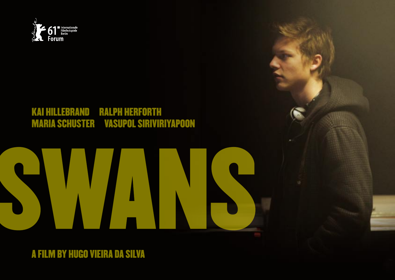

### **RALPH HERFORTH KAI HILLEBRAND MARIA SCHUSTER VASUPOL SIRIVIRIYAPOON**

### A FILM BY HUGO VIEIRA DA SILVA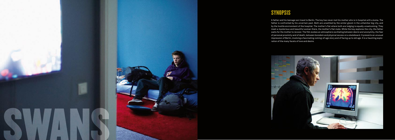

# **SYNOPSIS**

A father and his teenage son travel to Berlin. The boy has never met his mother who is in hospital with a koma. The father is confronted by his uncertain past. Both are unsettled by the winter gloom in the unfamiliar big city, and by the hostile environment of the hospital. The mother's flat where both are lodging is equally unwelcoming. They meet a mysterious and beautiful woman there, the mother's flat mate. While the boy explores the city, the father waits for the mother to recover. The film evokes an atmosphere oscillating between desire and anonymity, the fear of personal proximity and of death, between boredom and physical excess on a skateboard. It presents an unusual impression of Berlin, involving a fascinating coming-of-age story and of facing up to old age. It is a haunting exploration of the many facets of love and desire.

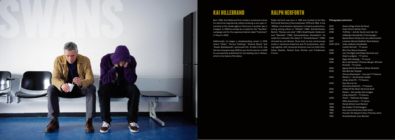

## Kai Hillebrand

in Tokyo in 2009.

Born 1990, Kai Hillebrand first visited a vocational school — Ralph Herforth was born in 1960 and studied at the Max — **Filmography (selection):** for electrical engineering, before entering a one-year-in-Reinhardt Seminary Vienna between 1979 and 1982. In the ternship at the model agency Tomorrow is another day in 1980ies, he achieved a reputation in theatre productions, Cologne. In 2008 he worked as a model for the "Top Man" acting among others in "Othello" (1983, Schillertheater campaign and for the Japanese fashion label "Factotum" Berlin), "Romeo und Julia" (1983, Stadttheater Heilbronn) Additionally, he began a skateboarding career in 2005 directed by Lars Becker. Since then he has continuously where "Vibes", "Forvert Clothing", "Decline Shoes" and acted in numerous theatrical and TV-productions, work-"Sweet Skateboards" sponsored him. At Adio C.O.S. Cup ing together with renowned directors such as Fatih Akin, German championship 2009 he won the third prize. In 2009 Oskar Roehler, Roland Suso Richter and Friedemann and "Macbeth" (1990, Schauspielhaus Düsseldorf). He made his cinematic film debut in "Schattenboxer" (1992)

he successfully auditioned for the leading role in *Swans*, Fromm. which is his feature film debut.

# Ralph Herforth

| 2010      | Swans (Hugo Vieira Da Silva)               |
|-----------|--------------------------------------------|
| 2009      | Unter Strom (Zoltan Paul)                  |
| 2008      | 1½ Ritter – Auf der Suche nach der hin-    |
|           | reißenden Herzelinde (Til Schweiger)       |
| 2008      | Speed Racer (Andy and Larry Wachowski)     |
| 2007      | Lamento (Daniel Hedfeld, René Sydow)       |
| 2005-2010 | Unter anderen Umständen                    |
|           | (Judith Kennel) - TV series                |
| 2005      | Æon Flux (Karyn Kusama)                    |
| 2006      | Into The Night with Ralph Herforth and     |
|           | Dolph Lundgren - TV series                 |
| 2006      | Rage (Züli Aladag) - TV movie              |
| 2005      | Bis in die Spitzen (Thomas Berger, Michael |
|           | Kreindl) - TV series                       |
| 2004      | Agnes And His Brothers (Oskar Roehler)     |
| 2004      | Das Blut der Templer                       |
|           | (Florian Baxmeyer) - two-part TV feature   |
| 2004      | Ratten 2 – Sie kommen wieder               |
|           | (Jörg Lühdorff) - TV feature               |
| 2003      | Das Herz ist rot                           |
|           | (Christine Kabisch) - TV feature           |
| 2002      | A Map Of The Heart (Dominik Graf)          |
| 2001      | Ratten – Sie werden dich kriegen           |
|           | (Jörg Lühdorff) - TV feature               |
| 2000      | Tatort – Tödliches Verlangen               |
|           | (Miko Zeuschner) - TV series               |
| 2000      | Kanak Attack (Lars Becker)                 |
| 1998      | Der Eisbär (Til Schweiger)                 |
| 1998      | Kurz und schmerzlos (Fatih Akin)           |
| 1997      | Knockin' On Heaven's Door (Thomas Jahn)    |
| 1992      | Schattenboxer (Lars Becker)                |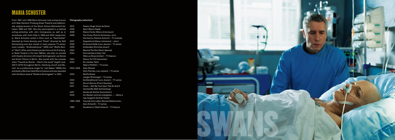## Maria Schuster

From 1987 until 1989 Maria Schuster took acting lessons **Filmography (selection):** with Gabi Oetterer (Freiburg State Theatre) and additionally singing lessons at the Music School Mariendorf between 1989 and 1991. She also participated in a method acting-workshop with John Costopoulos as well as in workshops with Yoshi Oida in 1999 and 2002 respectively. Maria Schuster acted in films such as "Nachtfalter" directed by Frank Novotny and "Poem" directed by Ralf Schmerberg and also stared in many popular TV series, most notably: "Großstadtrevier" (ARD) and "Wollfs Revier" (Sat1). After some theatre productions at the Freiburger State Theatre in the late 1980ies, she later on worked with theatre directors Christoph Schlingensief, Jan Bosse and Armin Petras in Berlin. She toured with the comedy show "Traumfrau Mutter – Mom's the world" (Ingolf Lück, 200 0–2010) throughout Berlin, Hamburg, Zurich and Munich. As a professional singer for "Jail Babes" (BMG) she achieved a (German) Gold Record status and was awarded with the Music Award "Goldene Stimmgabel" in 2002.

| 2010       | Swans (Hugo Vieira da Silva)              |
|------------|-------------------------------------------|
| 2009       | Sprit (Marco Raab)                        |
| 2009       | Kleine Fische (Marco Antoniazzi)          |
| 2008       | Two Funny (Patrick Schlosser, Joris       |
|            | Hermanns, Dietmar Schuch) - TV comedy     |
| 2007       | Doppelmord (Dana Linkiewicz) - short      |
| 2006       | Da kommt Kalle (Lars Jessen) - TV series  |
| 2005       | Antibodies (Christian Alvart)             |
| 2004       | Beyond The Sea (Kevin Spacey)             |
| 2004       | Dornröschens leiser Tod                   |
|            | (Marcus Rosenmüller) - TV feature         |
| 2004       | Status Yo! (Till Hastreiter)              |
| 2003       | Ein starkes Team                          |
|            | (Maris Pfeiffer) - TV series              |
| 2003, 2006 | Soko Wismar                               |
|            | (Dirk Pientka, Lars Jessen) – TV series   |
| 2003       | <b>Wolffs Revier</b>                      |
|            | (Jürgen Bretzinger) - TV series           |
| 2003       | Großstadtrevier (Lars Jessen) - TV series |
| 2001       | <b>Escort Service (Franz Novotny)</b>     |
| 2001       | Poem_I Set My Foot Upon The Air And It    |
|            | Carried Me (Ralf Schmerberg)              |
| 2001       | Alaska.de (Esther Gronenborn)             |
| 2000       | Iim Westen wird sie untergehen  - Balra a |
|            | nap nyugszik (András Fésös)               |
| 1998-1999  | Freunde fürs Leben (Nicolai Müllerschön,  |
|            | Gero Erhardt) - TV series                 |
| 1999       | Gnadenlos 2 (Gabi Kubach) - TV feature    |

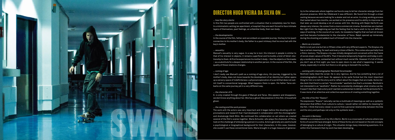

## Director Hugo Vieira da Silva on …

#### *… how the story starts:*

In this film two people are confronted with a situation that is completely new for them. In a minimalistic setting (an apartment, a hospital) they are each forced to face intimate layers of themselves, past feelings, an unfamiliar body, their own body.

#### … the developments:

In the course of the film, father and son embark on a parallel journey: the boy to his (past) connection to his mother's body, the father to a past intimacy that he once had with the boy's mother.

#### … *sexuality*:

Manuel's sexuality is very vague. In a way he is lost. His interest in people is similar to that of his interest in objects; it remains superficial and he builds a kind of fetish relationship to them. At first he experiences his mother's body – like the objects or the masks – as a substitute for a deeper relationship to another person. In the course of the film, the quality of these relations changes.

### *… coming of age:*

I don't really see Manuel's path as a coming-of-age story. His journey, triggered by his mother's body, does not move towards the development of an identity but rather opens up a sensory space of indefiniteness: a physical exploration of a world that does not submit itself to conventional language. What happens there is open. His father Tarso embarks on the same journey yet in a very different way.

#### *… the character of K.*

K. is only created through the gaze of Manuel and Tarso. She appears and disappears, we dont know anything about her. She has a ghost-like presence in this film. A household ghost.

#### *… the casting and the work process:*

The work with the actors was very important and it began before the shooting with improvisations and research that I had developed in collaboration with the choreographer and dramaturge Heidi Wilm. We continued this collaboration on set where we created several of the film's scenes together. Maria Schuster, who plays the character of Petra, took on the challenge of embodying a person in a coma. Actors generally are used to build a psychological or biographical background for their characters. In this case, however, she couldn't use these conventional tools. Maria brought in a huge measure of generos-

ity to the rehearsals where together we found a way to let her character emerge from her physical presence. With Kai Hillebrand it was different. We found him through a street casting because we were looking for a skater and not an actor. In a long working process that lasted about two months, we worked on his presence and his ability to improvise so that later we could develop a lot of scenes with him. Working with Ralph Herforth was always very intense. He comes from a more commercial cinema. Sometimes we clashed. But right from the beginning we had the feeling that he had a wish to try out different ways of working. In the course of our work, he revealed a fragility that we had not known and that became fundamental to the character of Tarso. Ralph opened up immensely during the shooting and added much of himself into the character.

#### *… Berlin as a location:*

Berlin is not just one but ten or fifteen cities with very different aspects. The Gropius city has a certain meaning, for each and every citizen of Berlin. This comes also partially from a filmic memory. The Gropius city was initially designed and conceived within the frame of social utopic values of the 60's. Then it became temporarily forgotten and today is simply a residential area, somewhat lost without much social life. However it's full of things you don't see at first sight; you have to open doors to see what's happening. It seems empty, especially in winter but there is a lot going on beneath the surface.

#### *… working with cinematographer Reinhold Vorschneider:*

Reinhold really liked the script. He is very rigorous. And he has something that a lot of cinematographers don't have: He appears to be quite formal but the most important thing for him is to tell the story and to reflect about the images that are made. Some media claim that there's a certain "Vorschneider" aesthetic but that's a mistake. Reinhold is not interested in an "aesthetic". Rather he consistently challenges what cinema can be. It wasn't like that I had a story and I wanted a cameraman to deliver me the pictures for it. It was more of an attentive and collective experience of creating something together.

#### *… the title of his film "Swans":*

The expression "Swans" naturally carries a multitude of meanings as well as a symbolic dimension that differs from culture to culture. I would rather not define its meaning for the film. I think that every viewer is sure to find a personal relationship between the title and the story and perhaps not only on the symbolic level …

#### *… his work in Germany:*

SWANS is a consequence of my life in Berlin. Berlin is a crossroads of cultures where new forms of social life have emerged. Some of these forms are not based on the old concepts of belonging to a culture of origin. This situation brings many interesting questions. It is within this framework that my work has been developing.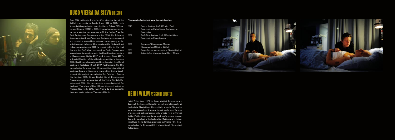

# **HUGO VIEIRA DA SILVA DIRECTOR**

Born 1974 in Oporto, Portugal. After studying law at the **Filmography (selection) as writer and director:** Catholic university in Oporto from 1992 to 1995, Hugo Vieira da Silva graduated from the Lisbon School Of Theatre and Cinema (ESTC) in 1999. His graduation documentary *Arte pública* was awarded with the Kodak Prize for Best Portuguese Documentary film 1998. His following documentaries *Grupo Puzzle* and *Confesso* were screened and curated in several international contemporary art institutions and galleries. After receiving the Nipkow Grant fellowship programme 2003 he moved to Berlin. His first feature film *Body Rice*, produced by Paulo Branco, won several awards, most notably: the Best Director category in Buenos Aires (Bafici-2007) and Mexico (Ficco-2007), a Special Mention of the official competition in Locarno 2006, Best Cinematography and Best Sound of the official section in Fortaleza (Brazil) 2007. Furthermore, the film was selected for more than 10 competitive international sections. *Swans* is his second feature film. During development, the project was selected for L'atelier – Cannes film festival 2009, Binger Filmlab Script Development Programme and was awarded at the Torino FilmLab Development 2008. He was recently curatedselected for the book "The future of film-100 new directors" edited by Phaidon-New york, 2010. Hugo Vieira da Silva currently lives and works between Vienna and Berlin.

| 2010 | Swans (feature film), 120 min / Red<br>Produced by Flying Moon, Contracosta |
|------|-----------------------------------------------------------------------------|
|      | Producões                                                                   |
| 2006 | Body Rice (feature film), 120min / 35mm                                     |
|      | <b>Produced by Paulo Branco</b>                                             |
| 2003 | Confesso (Albuquerque Mendes                                                |
|      | (documentary) 52min / Digital                                               |
| 2001 | Grupo Puzzle (documentary) 52min / Digital                                  |
| 1998 | Arte pública (documentary) 30m / 16mm                                       |

### Heidi Wilm Assistant Director

Heidi Wilm, born 1978 in Graz, studied Contemporary Dance at the Iwanson School in Munich and philosophy at the Ludwig-Maximilians-University in Munich. She works as a choreographer, dramaturge and performer. Various projects and collaborations with artists from different fields. Publications on dance and performance theory. Currently developing the feature film *Wellengang* together with Hugo Vieira da Silva, produced by Prisma Film, Vienna, selected for Cinemart 2011, International Filmfestival Rotterdam.

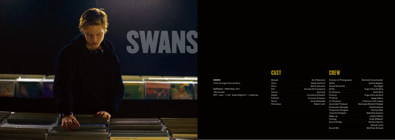

### **SWANS**

a film by Hugo Vieira da Silva

### GERMANY / PORTUGAL 2011 126 minutes DCP · color · 1:1,85 · Dolby Digital 5.1 · in German

# **CAST**

| Andreas <b>Mateur Andreas Andreas Mateur Christian Schwarz</b> |  |
|----------------------------------------------------------------|--|
|                                                                |  |
|                                                                |  |



|                                  | Director of Photography <b>Communist Properties</b> Reinhold Vorschneider |
|----------------------------------|---------------------------------------------------------------------------|
|                                  | Andrea Wagner                                                             |
|                                  | Nic Nagel                                                                 |
|                                  |                                                                           |
|                                  |                                                                           |
|                                  | Director <b>Martin Adam Adam Adam Adam Hugo Vieira da Silva</b>           |
|                                  | Helge Albers                                                              |
|                                  |                                                                           |
|                                  | Associate Producer Roshanak Behesht Nedjad                                |
|                                  | Production Manager [11] Dr. The Michael Micolaisen                        |
|                                  | Production DesignerThomas Molt                                            |
|                                  |                                                                           |
|                                  |                                                                           |
| Casting <b>Executive Casting</b> | Antje Mißbach                                                             |
|                                  | Daniel Iribarren                                                          |
|                                  | <b>Manuel Laval</b>                                                       |
|                                  | Matthias Schwab                                                           |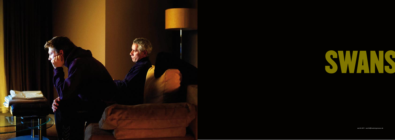



werth 2011 · werth@itookmyprozac.de